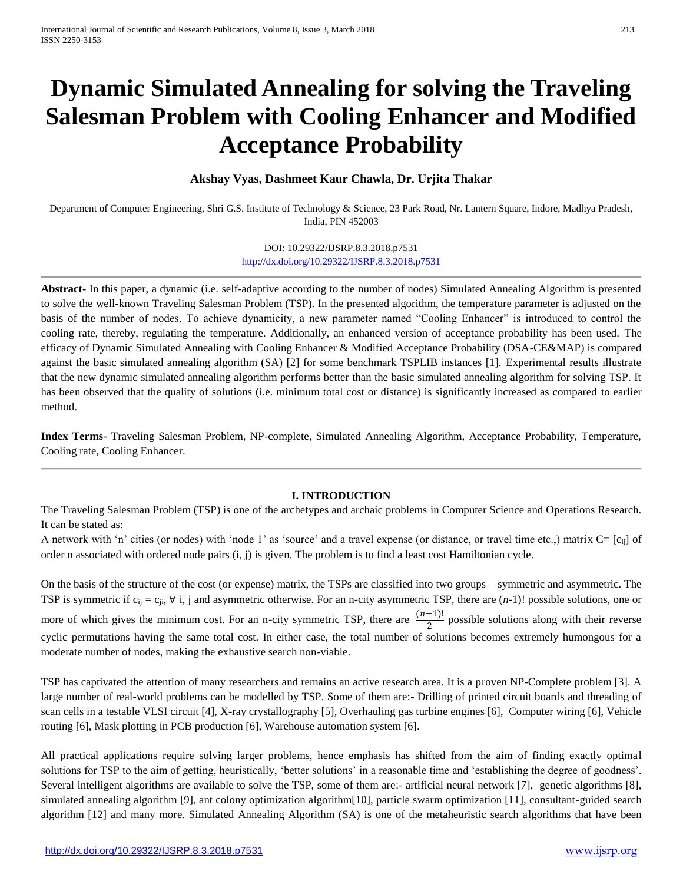# **Dynamic Simulated Annealing for solving the Traveling Salesman Problem with Cooling Enhancer and Modified Acceptance Probability**

# **Akshay Vyas, Dashmeet Kaur Chawla, Dr. Urjita Thakar**

Department of Computer Engineering, Shri G.S. Institute of Technology & Science, 23 Park Road, Nr. Lantern Square, Indore, Madhya Pradesh, India, PIN 452003

> DOI: 10.29322/IJSRP.8.3.2018.p7531 <http://dx.doi.org/10.29322/IJSRP.8.3.2018.p7531>

**Abstract-** In this paper, a dynamic (i.e. self-adaptive according to the number of nodes) Simulated Annealing Algorithm is presented to solve the well-known Traveling Salesman Problem (TSP). In the presented algorithm, the temperature parameter is adjusted on the basis of the number of nodes. To achieve dynamicity, a new parameter named "Cooling Enhancer" is introduced to control the cooling rate, thereby, regulating the temperature. Additionally, an enhanced version of acceptance probability has been used. The efficacy of Dynamic Simulated Annealing with Cooling Enhancer & Modified Acceptance Probability (DSA-CE&MAP) is compared against the basic simulated annealing algorithm (SA) [2] for some benchmark TSPLIB instances [1]. Experimental results illustrate that the new dynamic simulated annealing algorithm performs better than the basic simulated annealing algorithm for solving TSP. It has been observed that the quality of solutions (i.e. minimum total cost or distance) is significantly increased as compared to earlier method.

**Index Terms-** Traveling Salesman Problem, NP-complete, Simulated Annealing Algorithm, Acceptance Probability, Temperature, Cooling rate, Cooling Enhancer.

#### **I. INTRODUCTION**

The Traveling Salesman Problem (TSP) is one of the archetypes and archaic problems in Computer Science and Operations Research. It can be stated as:

A network with 'n' cities (or nodes) with 'node 1' as 'source' and a travel expense (or distance, or travel time etc.,) matrix C= [cij] of order n associated with ordered node pairs (i, j) is given. The problem is to find a least cost Hamiltonian cycle.

On the basis of the structure of the cost (or expense) matrix, the TSPs are classified into two groups – symmetric and asymmetric. The TSP is symmetric if  $c_{ij} = c_{ji}$ ,  $\forall$  i, j and asymmetric otherwise. For an n-city asymmetric TSP, there are  $(n-1)!$  possible solutions, one or more of which gives the minimum cost. For an n-city symmetric TSP, there are  $\frac{(n-1)!}{2}$  possible solutions along with their reverse cyclic permutations having the same total cost. In either case, the total number of solutions becomes extremely humongous for a moderate number of nodes, making the exhaustive search non-viable.

TSP has captivated the attention of many researchers and remains an active research area. It is a proven NP-Complete problem [3]. A large number of real-world problems can be modelled by TSP. Some of them are:- Drilling of printed circuit boards and threading of scan cells in a testable VLSI circuit [4], X-ray crystallography [5], Overhauling gas turbine engines [6], Computer wiring [6], Vehicle routing [6], Mask plotting in PCB production [6], Warehouse automation system [6].

All practical applications require solving larger problems, hence emphasis has shifted from the aim of finding exactly optimal solutions for TSP to the aim of getting, heuristically, 'better solutions' in a reasonable time and 'establishing the degree of goodness'. Several intelligent algorithms are available to solve the TSP, some of them are:- artificial neural network [7], genetic algorithms [8], simulated annealing algorithm [9], ant colony optimization algorithm[10], particle swarm optimization [11], consultant-guided search algorithm [12] and many more. Simulated Annealing Algorithm (SA) is one of the metaheuristic search algorithms that have been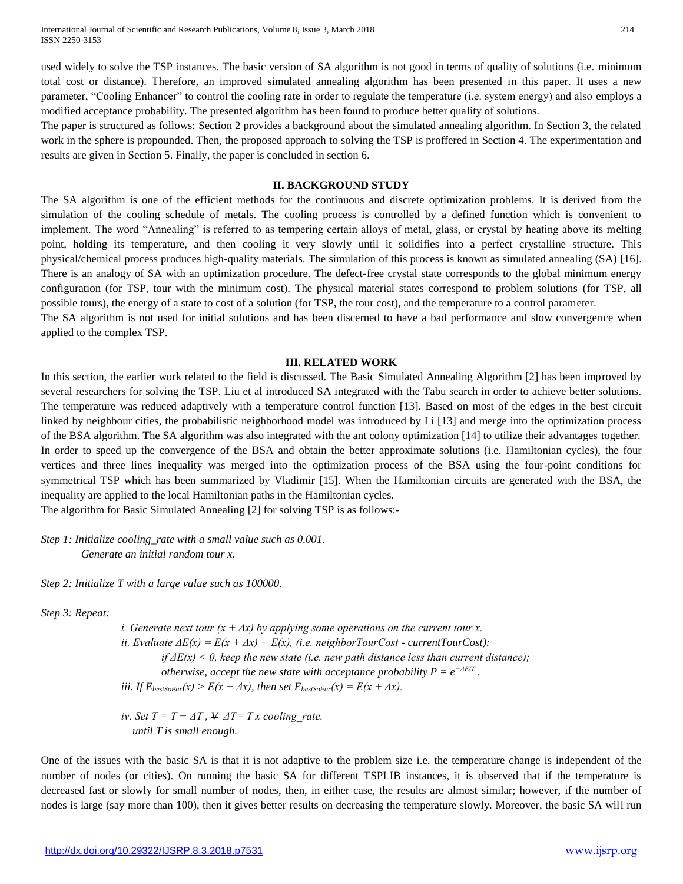International Journal of Scientific and Research Publications, Volume 8, Issue 3, March 2018 214 ISSN 2250-3153

used widely to solve the TSP instances. The basic version of SA algorithm is not good in terms of quality of solutions (i.e. minimum total cost or distance). Therefore, an improved simulated annealing algorithm has been presented in this paper. It uses a new parameter, "Cooling Enhancer" to control the cooling rate in order to regulate the temperature (i.e. system energy) and also employs a modified acceptance probability. The presented algorithm has been found to produce better quality of solutions.

The paper is structured as follows: Section 2 provides a background about the simulated annealing algorithm. In Section 3, the related work in the sphere is propounded. Then, the proposed approach to solving the TSP is proffered in Section 4. The experimentation and results are given in Section 5. Finally, the paper is concluded in section 6.

#### **II. BACKGROUND STUDY**

The SA algorithm is one of the efficient methods for the continuous and discrete optimization problems. It is derived from the simulation of the cooling schedule of metals. The cooling process is controlled by a defined function which is convenient to implement. The word "Annealing" is referred to as tempering certain alloys of metal, glass, or crystal by heating above its melting point, holding its temperature, and then cooling it very slowly until it solidifies into a perfect crystalline structure. This physical/chemical process produces high-quality materials. The simulation of this process is known as simulated annealing (SA) [16]. There is an analogy of SA with an optimization procedure. The defect-free crystal state corresponds to the global minimum energy configuration (for TSP, tour with the minimum cost). The physical material states correspond to problem solutions (for TSP, all possible tours), the energy of a state to cost of a solution (for TSP, the tour cost), and the temperature to a control parameter. The SA algorithm is not used for initial solutions and has been discerned to have a bad performance and slow convergence when

applied to the complex TSP.

#### **III. RELATED WORK**

In this section, the earlier work related to the field is discussed. The Basic Simulated Annealing Algorithm [2] has been improved by several researchers for solving the TSP. Liu et al introduced SA integrated with the Tabu search in order to achieve better solutions. The temperature was reduced adaptively with a temperature control function [13]. Based on most of the edges in the best circuit linked by neighbour cities, the probabilistic neighborhood model was introduced by Li [13] and merge into the optimization process of the BSA algorithm. The SA algorithm was also integrated with the ant colony optimization [14] to utilize their advantages together. In order to speed up the convergence of the BSA and obtain the better approximate solutions (i.e. Hamiltonian cycles), the four vertices and three lines inequality was merged into the optimization process of the BSA using the four-point conditions for symmetrical TSP which has been summarized by Vladimir [15]. When the Hamiltonian circuits are generated with the BSA, the inequality are applied to the local Hamiltonian paths in the Hamiltonian cycles.

The algorithm for Basic Simulated Annealing [2] for solving TSP is as follows:-

*Step 1: Initialize cooling\_rate with a small value such as 0.001. Generate an initial random tour x.*

*Step 2: Initialize T with a large value such as 100000.*

*Step 3: Repeat:*

*i. Generate next tour*  $(x + \Delta x)$  *by applying some operations on the current tour x. ii. Evaluate*  $\Delta E(x) = E(x + \Delta x) - E(x)$ , (*i.e. neighborTourCost - currentTourCost*): *if ΔE(x) < 0, keep the new state (i.e. new path distance less than current distance); otherwise, accept the new state with acceptance probability*  $P = e^{-\Delta E/T}$ *. iii. If*  $E_{bestSoft}(x) > E(x + \Delta x)$ *, then set*  $E_{bestSoft}(x) = E(x + \Delta x)$ .

*iv.* Set  $T = T - \Delta T$ ,  $\boldsymbol{\nabla} \Delta T = T x$  cooling rate.  *until T is small enough.* 

One of the issues with the basic SA is that it is not adaptive to the problem size i.e. the temperature change is independent of the number of nodes (or cities). On running the basic SA for different TSPLIB instances, it is observed that if the temperature is decreased fast or slowly for small number of nodes, then, in either case, the results are almost similar; however, if the number of nodes is large (say more than 100), then it gives better results on decreasing the temperature slowly. Moreover, the basic SA will run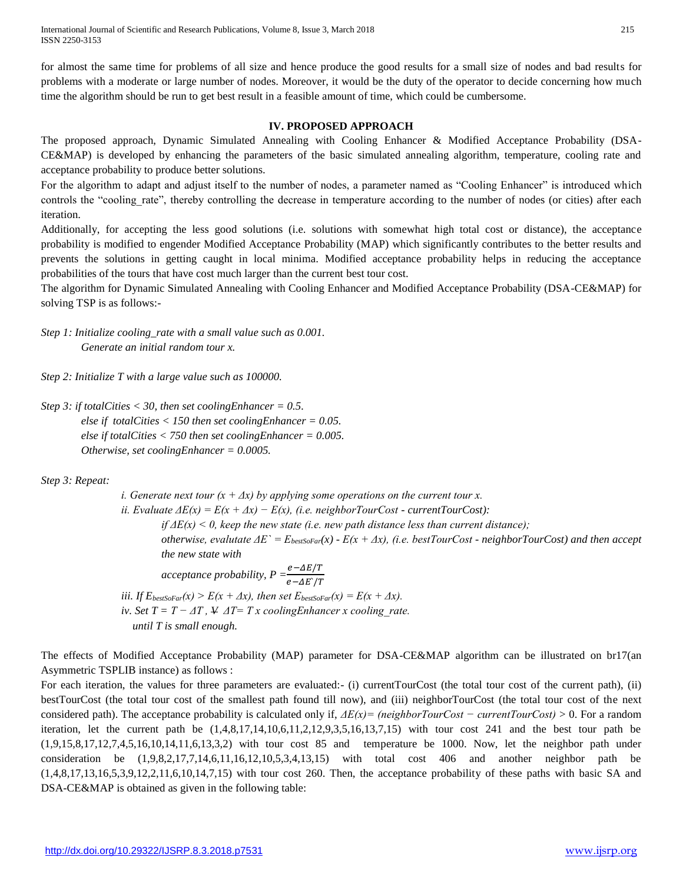International Journal of Scientific and Research Publications, Volume 8, Issue 3, March 2018 215 ISSN 2250-3153

for almost the same time for problems of all size and hence produce the good results for a small size of nodes and bad results for problems with a moderate or large number of nodes. Moreover, it would be the duty of the operator to decide concerning how much time the algorithm should be run to get best result in a feasible amount of time, which could be cumbersome.

# **IV. PROPOSED APPROACH**

The proposed approach, Dynamic Simulated Annealing with Cooling Enhancer & Modified Acceptance Probability (DSA-CE&MAP) is developed by enhancing the parameters of the basic simulated annealing algorithm, temperature, cooling rate and acceptance probability to produce better solutions.

For the algorithm to adapt and adjust itself to the number of nodes, a parameter named as "Cooling Enhancer" is introduced which controls the "cooling rate", thereby controlling the decrease in temperature according to the number of nodes (or cities) after each iteration.

Additionally, for accepting the less good solutions (i.e. solutions with somewhat high total cost or distance), the acceptance probability is modified to engender Modified Acceptance Probability (MAP) which significantly contributes to the better results and prevents the solutions in getting caught in local minima. Modified acceptance probability helps in reducing the acceptance probabilities of the tours that have cost much larger than the current best tour cost.

The algorithm for Dynamic Simulated Annealing with Cooling Enhancer and Modified Acceptance Probability (DSA-CE&MAP) for solving TSP is as follows:-

*Step 1: Initialize cooling\_rate with a small value such as 0.001. Generate an initial random tour x.*

*Step 2: Initialize T with a large value such as 100000.*

*Step 3: if totalCities < 30, then set coolingEnhancer = 0.5. else if totalCities < 150 then set coolingEnhancer = 0.05. else if totalCities < 750 then set coolingEnhancer = 0.005. Otherwise, set coolingEnhancer = 0.0005.*

*Step 3: Repeat:*

*i. Generate next tour*  $(x + \Delta x)$  *by applying some operations on the current tour x. ii. Evaluate*  $\Delta E(x) = E(x + \Delta x) - E(x)$ , (*i.e. neighborTourCost - currentTourCost*): *if ΔE(x) < 0, keep the new state (i.e. new path distance less than current distance); otherwise, evalutate*  $\Delta E$ <sup> $\cdot$ </sup> =  $E_{bestSoft}(x)$  -  $E(x + \Delta x)$ , (i.e. bestTourCost - neighborTourCost) and then accept *the new state with acceptance probability,*  $P = \frac{e - \Delta E}{\Delta E}$  $e-\Delta E^2/T$ 

*iii. If*  $E_{bestSoft}(x) > E(x + \Delta x)$ , then set  $E_{bestSoft}(x) = E(x + \Delta x)$ . *iv.* Set  $T = T - \Delta T$ ,  $\forall \Delta T = T \times \text{cooling}$  Enhancer x cooling rate.  *until T is small enough.* 

The effects of Modified Acceptance Probability (MAP) parameter for DSA-CE&MAP algorithm can be illustrated on br17(an Asymmetric TSPLIB instance) as follows :

For each iteration, the values for three parameters are evaluated:- (i) currentTourCost (the total tour cost of the current path), (ii) bestTourCost (the total tour cost of the smallest path found till now), and (iii) neighborTourCost (the total tour cost of the next considered path). The acceptance probability is calculated only if, *ΔE(x)= (neighborTourCost − currentTourCost)* > 0. For a random iteration, let the current path be  $(1,4,8,17,14,10,6,11,2,12,9,3,5,16,13,7,15)$  with tour cost 241 and the best tour path be (1,9,15,8,17,12,7,4,5,16,10,14,11,6,13,3,2) with tour cost 85 and temperature be 1000. Now, let the neighbor path under consideration be (1,9,8,2,17,7,14,6,11,16,12,10,5,3,4,13,15) with total cost 406 and another neighbor path be  $(1,4,8,17,13,16,5,3,9,12,2,11,6,10,14,7,15)$  with tour cost 260. Then, the acceptance probability of these paths with basic SA and DSA-CE&MAP is obtained as given in the following table: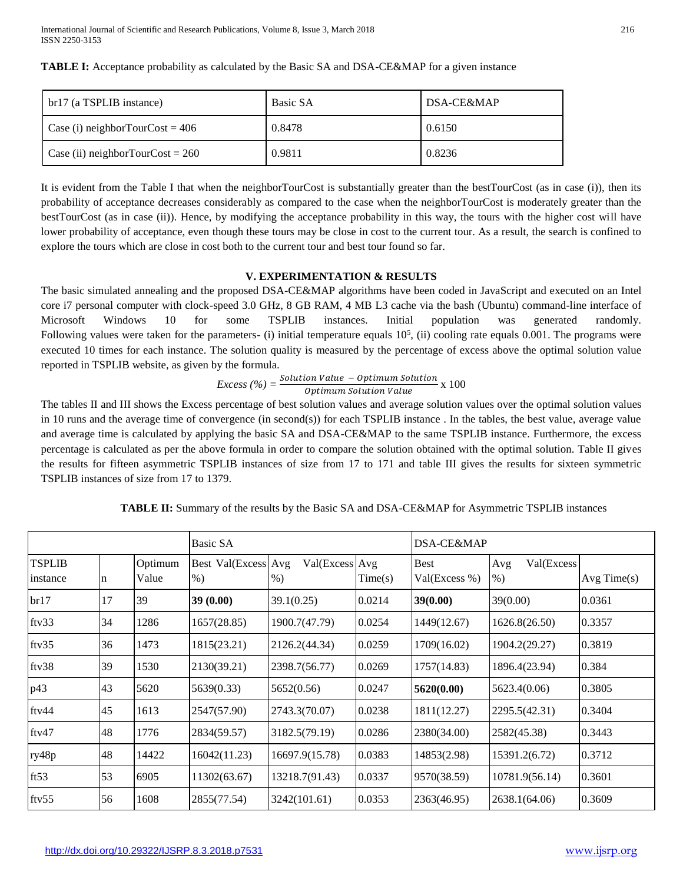| $br17$ (a TSPLIB instance)         | Basic SA | DSA-CE&MAP |  |
|------------------------------------|----------|------------|--|
| Case (i) neighborTourCost = $406$  | 0.8478   | 0.6150     |  |
| Case (ii) neighborTourCost = $260$ | 0.9811   | 0.8236     |  |

**TABLE I:** Acceptance probability as calculated by the Basic SA and DSA-CE&MAP for a given instance

It is evident from the Table I that when the neighborTourCost is substantially greater than the bestTourCost (as in case (i)), then its probability of acceptance decreases considerably as compared to the case when the neighborTourCost is moderately greater than the bestTourCost (as in case (ii)). Hence, by modifying the acceptance probability in this way, the tours with the higher cost will have lower probability of acceptance, even though these tours may be close in cost to the current tour. As a result, the search is confined to explore the tours which are close in cost both to the current tour and best tour found so far.

#### **V. EXPERIMENTATION & RESULTS**

The basic simulated annealing and the proposed DSA-CE&MAP algorithms have been coded in JavaScript and executed on an Intel core i7 personal computer with clock-speed 3.0 GHz, 8 GB RAM, 4 MB L3 cache via the bash (Ubuntu) command-line interface of Microsoft Windows 10 for some TSPLIB instances. Initial population was generated randomly. Following values were taken for the parameters- (i) initial temperature equals  $10^5$ , (ii) cooling rate equals 0.001. The programs were executed 10 times for each instance. The solution quality is measured by the percentage of excess above the optimal solution value reported in TSPLIB website, as given by the formula.

$$
Excess (%) = \frac{Solution Value - Optimum Solution}{Optimum Solution Value} x 100
$$

The tables II and III shows the Excess percentage of best solution values and average solution values over the optimal solution values in 10 runs and the average time of convergence (in second(s)) for each TSPLIB instance . In the tables, the best value, average value and average time is calculated by applying the basic SA and DSA-CE&MAP to the same TSPLIB instance. Furthermore, the excess percentage is calculated as per the above formula in order to compare the solution obtained with the optimal solution. Table II gives the results for fifteen asymmetric TSPLIB instances of size from 17 to 171 and table III gives the results for sixteen symmetric TSPLIB instances of size from 17 to 1379.

|                           |    |                  | Basic SA                     |                         |         | DSA-CE&MAP            |                            |             |
|---------------------------|----|------------------|------------------------------|-------------------------|---------|-----------------------|----------------------------|-------------|
| <b>TSPLIB</b><br>instance | n  | Optimum<br>Value | Best Val(Excess Avg<br>$%$ ) | Val(Excess Avg<br>$%$ ) | Time(s) | Best<br>Val(Excess %) | Val(Excess<br>Avg<br>$%$ ) | Avg Time(s) |
| br17                      | 17 | 39               | 39(0.00)                     | 39.1(0.25)              | 0.0214  | 39(0.00)              | 39(0.00)                   | 0.0361      |
| ftv33                     | 34 | 1286             | 1657(28.85)                  | 1900.7(47.79)           | 0.0254  | 1449(12.67)           | 1626.8(26.50)              | 0.3357      |
| ftv35                     | 36 | 1473             | 1815(23.21)                  | 2126.2(44.34)           | 0.0259  | 1709(16.02)           | 1904.2(29.27)              | 0.3819      |
| ftv38                     | 39 | 1530             | 2130(39.21)                  | 2398.7(56.77)           | 0.0269  | 1757(14.83)           | 1896.4(23.94)              | 0.384       |
| p43                       | 43 | 5620             | 5639(0.33)                   | 5652(0.56)              | 0.0247  | 5620(0.00)            | 5623.4(0.06)               | 0.3805      |
| ftv44                     | 45 | 1613             | 2547(57.90)                  | 2743.3(70.07)           | 0.0238  | 1811(12.27)           | 2295.5(42.31)              | 0.3404      |
| ftv47                     | 48 | 1776             | 2834(59.57)                  | 3182.5(79.19)           | 0.0286  | 2380(34.00)           | 2582(45.38)                | 0.3443      |
| ry48p                     | 48 | 14422            | 16042(11.23)                 | 16697.9(15.78)          | 0.0383  | 14853(2.98)           | 15391.2(6.72)              | 0.3712      |
| ft53                      | 53 | 6905             | 11302(63.67)                 | 13218.7(91.43)          | 0.0337  | 9570(38.59)           | 10781.9(56.14)             | 0.3601      |
| ftv55                     | 56 | 1608             | 2855(77.54)                  | 3242(101.61)            | 0.0353  | 2363(46.95)           | 2638.1(64.06)              | 0.3609      |

**TABLE II:** Summary of the results by the Basic SA and DSA-CE&MAP for Asymmetric TSPLIB instances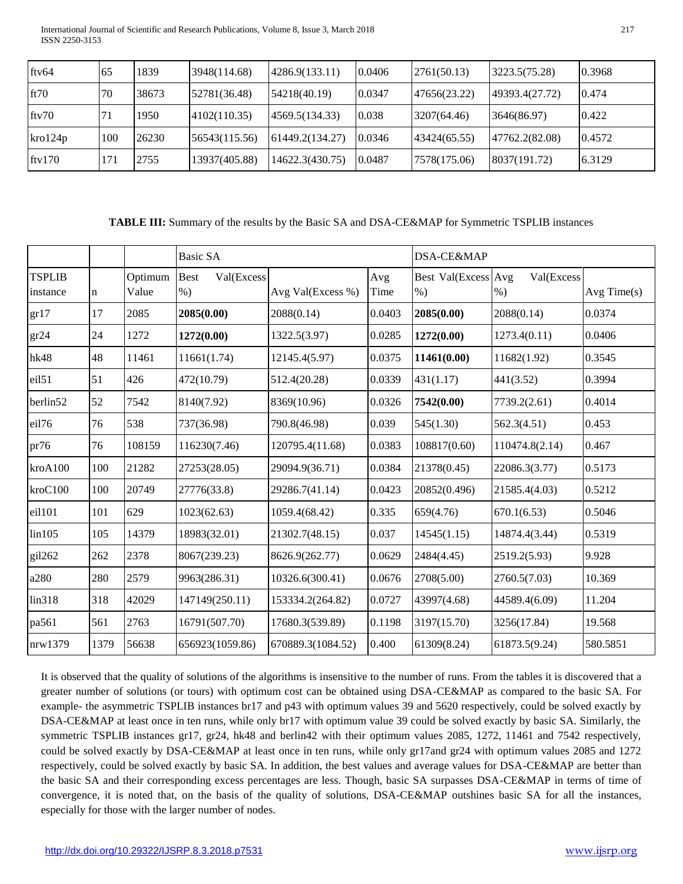| ftv64   | 65  | 1839  | 3948(114.68)  | 4286.9(133.11)    | 0.0406 | 2761(50.13)  | 3223.5(75.28)  | 0.3968 |
|---------|-----|-------|---------------|-------------------|--------|--------------|----------------|--------|
| ft70    | 70  | 38673 | 52781(36.48)  | 54218(40.19)      | 0.0347 | 47656(23.22) | 49393.4(27.72) | 0.474  |
| ftv70   |     | 1950  | 4102(110.35)  | 4569.5(134.33)    | 0.038  | 3207(64.46)  | 3646(86.97)    | 0.422  |
| kro124p | 100 | 26230 | 56543(115.56) | (61449.2(134.27)) | 0.0346 | 43424(65.55) | 47762.2(82.08) | 0.4572 |
| ftv170  | 171 | 2755  | 13937(405.88) | 14622.3(430.75)   | 0.0487 | 7578(175.06) | 8037(191.72)   | 6.3129 |

**TABLE III:** Summary of the results by the Basic SA and DSA-CE&MAP for Symmetric TSPLIB instances

|                           |      |                  | Basic SA                           |                   |             | DSA-CE&MAP                      |                            |               |
|---------------------------|------|------------------|------------------------------------|-------------------|-------------|---------------------------------|----------------------------|---------------|
| <b>TSPLIB</b><br>instance | n    | Optimum<br>Value | <b>Best</b><br>Val(Excess<br>$%$ ) | Avg Val(Excess %) | Avg<br>Time | <b>Best Val(Excess</b><br>$%$ ) | Val(Excess<br>Avg<br>$%$ ) | Avg $Time(s)$ |
| gr17                      | 17   | 2085             | 2085(0.00)                         | 2088(0.14)        | 0.0403      | 2085(0.00)                      | 2088(0.14)                 | 0.0374        |
| gr24                      | 24   | 1272             | 1272(0.00)                         | 1322.5(3.97)      | 0.0285      | 1272(0.00)                      | 1273.4(0.11)               | 0.0406        |
| hk48                      | 48   | 11461            | 11661(1.74)                        | 12145.4(5.97)     | 0.0375      | 11461(0.00)                     | 11682(1.92)                | 0.3545        |
| eil <sub>51</sub>         | 51   | 426              | 472(10.79)                         | 512.4(20.28)      | 0.0339      | 431(1.17)                       | 441(3.52)                  | 0.3994        |
| berlin52                  | 52   | 7542             | 8140(7.92)                         | 8369(10.96)       | 0.0326      | 7542(0.00)                      | 7739.2(2.61)               | 0.4014        |
| eil76                     | 76   | 538              | 737(36.98)                         | 790.8(46.98)      | 0.039       | 545(1.30)                       | 562.3(4.51)                | 0.453         |
| pr76                      | 76   | 108159           | 116230(7.46)                       | 120795.4(11.68)   | 0.0383      | 108817(0.60)                    | 110474.8(2.14)             | 0.467         |
| kroA100                   | 100  | 21282            | 27253(28.05)                       | 29094.9(36.71)    | 0.0384      | 21378(0.45)                     | 22086.3(3.77)              | 0.5173        |
| kroC100                   | 100  | 20749            | 27776(33.8)                        | 29286.7(41.14)    | 0.0423      | 20852(0.496)                    | 21585.4(4.03)              | 0.5212        |
| ei1101                    | 101  | 629              | 1023(62.63)                        | 1059.4(68.42)     | 0.335       | 659(4.76)                       | 670.1(6.53)                | 0.5046        |
| lin105                    | 105  | 14379            | 18983(32.01)                       | 21302.7(48.15)    | 0.037       | 14545(1.15)                     | 14874.4(3.44)              | 0.5319        |
| gil262                    | 262  | 2378             | 8067(239.23)                       | 8626.9(262.77)    | 0.0629      | 2484(4.45)                      | 2519.2(5.93)               | 9.928         |
| a280                      | 280  | 2579             | 9963(286.31)                       | 10326.6(300.41)   | 0.0676      | 2708(5.00)                      | 2760.5(7.03)               | 10.369        |
| lin318                    | 318  | 42029            | 147149(250.11)                     | 153334.2(264.82)  | 0.0727      | 43997(4.68)                     | 44589.4(6.09)              | 11.204        |
| pa561                     | 561  | 2763             | 16791(507.70)                      | 17680.3(539.89)   | 0.1198      | 3197(15.70)                     | 3256(17.84)                | 19.568        |
| nrw1379                   | 1379 | 56638            | 656923(1059.86)                    | 670889.3(1084.52) | 0.400       | 61309(8.24)                     | 61873.5(9.24)              | 580.5851      |

It is observed that the quality of solutions of the algorithms is insensitive to the number of runs. From the tables it is discovered that a greater number of solutions (or tours) with optimum cost can be obtained using DSA-CE&MAP as compared to the basic SA. For example- the asymmetric TSPLIB instances br17 and p43 with optimum values 39 and 5620 respectively, could be solved exactly by DSA-CE&MAP at least once in ten runs, while only br17 with optimum value 39 could be solved exactly by basic SA. Similarly, the symmetric TSPLIB instances gr17, gr24, hk48 and berlin42 with their optimum values 2085, 1272, 11461 and 7542 respectively, could be solved exactly by DSA-CE&MAP at least once in ten runs, while only gr17and gr24 with optimum values 2085 and 1272 respectively, could be solved exactly by basic SA. In addition, the best values and average values for DSA-CE&MAP are better than the basic SA and their corresponding excess percentages are less. Though, basic SA surpasses DSA-CE&MAP in terms of time of convergence, it is noted that, on the basis of the quality of solutions, DSA-CE&MAP outshines basic SA for all the instances, especially for those with the larger number of nodes.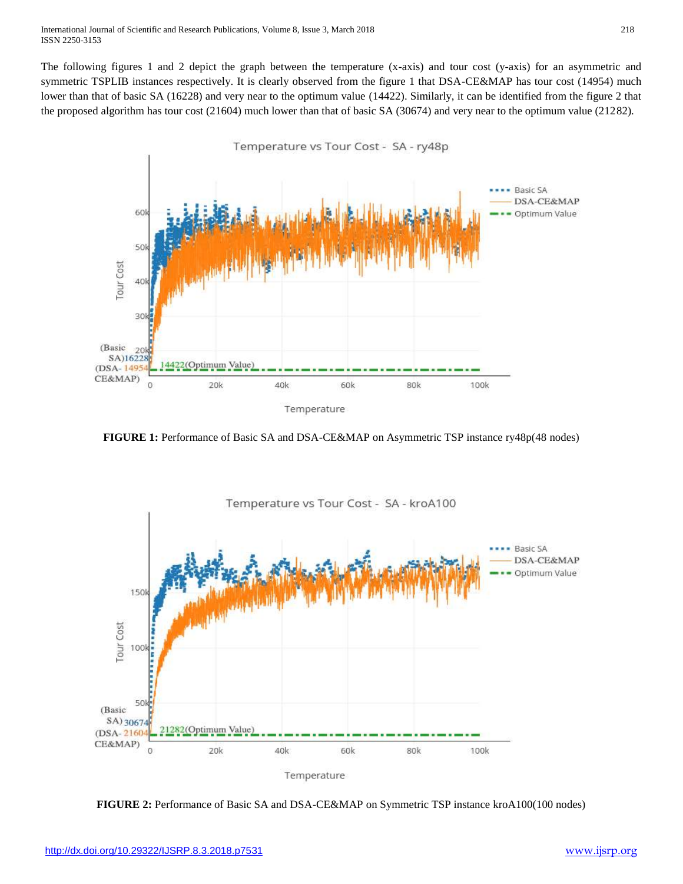The following figures 1 and 2 depict the graph between the temperature (x-axis) and tour cost (y-axis) for an asymmetric and symmetric TSPLIB instances respectively. It is clearly observed from the figure 1 that DSA-CE&MAP has tour cost (14954) much lower than that of basic SA (16228) and very near to the optimum value (14422). Similarly, it can be identified from the figure 2 that the proposed algorithm has tour cost (21604) much lower than that of basic SA (30674) and very near to the optimum value (21282).



**FIGURE 1:** Performance of Basic SA and DSA-CE&MAP on Asymmetric TSP instance ry48p(48 nodes)



**FIGURE 2:** Performance of Basic SA and DSA-CE&MAP on Symmetric TSP instance kroA100(100 nodes)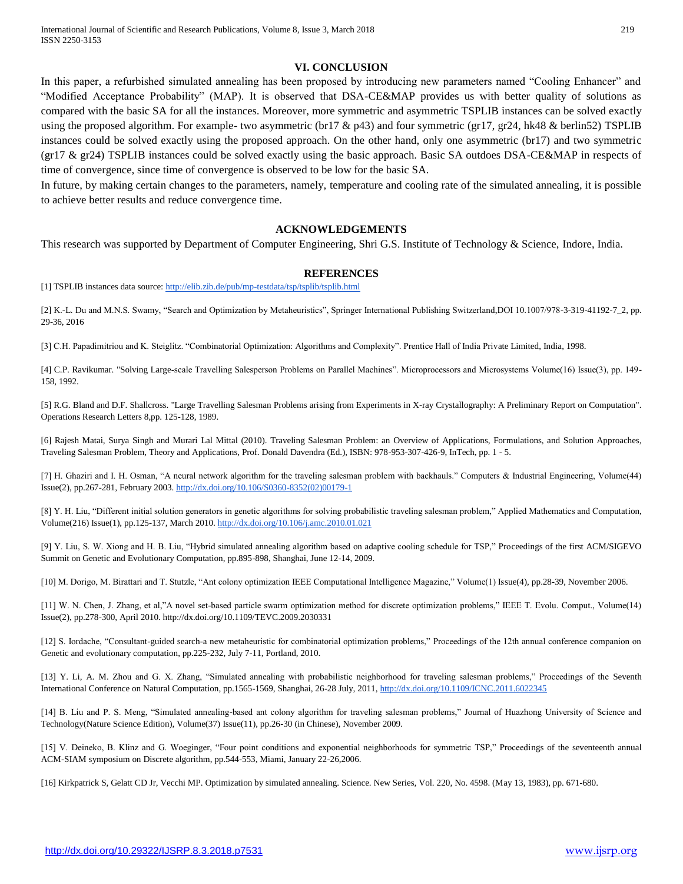#### **VI. CONCLUSION**

In this paper, a refurbished simulated annealing has been proposed by introducing new parameters named "Cooling Enhancer" and "Modified Acceptance Probability" (MAP). It is observed that DSA-CE&MAP provides us with better quality of solutions as compared with the basic SA for all the instances. Moreover, more symmetric and asymmetric TSPLIB instances can be solved exactly using the proposed algorithm. For example- two asymmetric (br17 & p43) and four symmetric (gr17, gr24, hk48 & berlin52) TSPLIB instances could be solved exactly using the proposed approach. On the other hand, only one asymmetric (br17) and two symmetric (gr17 & gr24) TSPLIB instances could be solved exactly using the basic approach. Basic SA outdoes DSA-CE&MAP in respects of time of convergence, since time of convergence is observed to be low for the basic SA.

In future, by making certain changes to the parameters, namely, temperature and cooling rate of the simulated annealing, it is possible to achieve better results and reduce convergence time.

# **ACKNOWLEDGEMENTS**

This research was supported by Department of Computer Engineering, Shri G.S. Institute of Technology & Science, Indore, India.

# **REFERENCES**

[1] TSPLIB instances data source[: http://elib.zib.de/pub/mp-testdata/tsp/tsplib/tsplib.html](http://elib.zib.de/pub/mp-testdata/tsp/tsplib/tsplib.html)

[2] K.-L. Du and M.N.S. Swamy, "Search and Optimization by Metaheuristics", Springer International Publishing Switzerland,DOI 10.1007/978-3-319-41192-7\_2, pp. 29-36, 2016

[3] C.H. Papadimitriou and K. Steiglitz. "Combinatorial Optimization: Algorithms and Complexity". Prentice Hall of India Private Limited, India, 1998.

[4] C.P. Ravikumar. "Solving Large-scale Travelling Salesperson Problems on Parallel Machines". Microprocessors and Microsystems Volume(16) Issue(3), pp. 149- 158, 1992.

[5] R.G. Bland and D.F. Shallcross. "Large Travelling Salesman Problems arising from Experiments in X-ray Crystallography: A Preliminary Report on Computation". Operations Research Letters 8,pp. 125-128, 1989.

[6] Rajesh Matai, Surya Singh and Murari Lal Mittal (2010). Traveling Salesman Problem: an Overview of Applications, Formulations, and Solution Approaches, Traveling Salesman Problem, Theory and Applications, Prof. Donald Davendra (Ed.), ISBN: 978-953-307-426-9, InTech, pp. 1 - 5.

[7] H. Ghaziri and I. H. Osman, "A neural network algorithm for the traveling salesman problem with backhauls." Computers & Industrial Engineering, Volume(44) Issue(2), pp.267-281, February 2003[. http://dx.doi.org/10.106/S0360-8352\(02\)00179-1](http://dx.doi.org/10.106/S0360-8352(02)00179-1)

[8] Y. H. Liu, "Different initial solution generators in genetic algorithms for solving probabilistic traveling salesman problem," Applied Mathematics and Computation, Volume(216) Issue(1), pp.125-137, March 2010[. http://dx.doi.org/10.106/j.amc.2010.01.021](http://dx.doi.org/10.106/j.amc.2010.01.021)

[9] Y. Liu, S. W. Xiong and H. B. Liu, "Hybrid simulated annealing algorithm based on adaptive cooling schedule for TSP," Proceedings of the first ACM/SIGEVO Summit on Genetic and Evolutionary Computation, pp.895-898, Shanghai, June 12-14, 2009.

[10] M. Dorigo, M. Birattari and T. Stutzle, "Ant colony optimization IEEE Computational Intelligence Magazine," Volume(1) Issue(4), pp.28-39, November 2006.

[11] W. N. Chen, J. Zhang, et al,"A novel set-based particle swarm optimization method for discrete optimization problems," IEEE T. Evolu. Comput., Volume(14) Issue(2), pp.278-300, April 2010. http://dx.doi.org/10.1109/TEVC.2009.2030331

[12] S. Iordache, "Consultant-guided search-a new metaheuristic for combinatorial optimization problems," Proceedings of the 12th annual conference companion on Genetic and evolutionary computation, pp.225-232, July 7-11, Portland, 2010.

[13] Y. Li, A. M. Zhou and G. X. Zhang, "Simulated annealing with probabilistic neighborhood for traveling salesman problems," Proceedings of the Seventh International Conference on Natural Computation, pp.1565-1569, Shanghai, 26-28 July, 2011[, http://dx.doi.org/10.1109/ICNC.2011.6022345](http://dx.doi.org/10.1109/ICNC.2011.6022345)

[14] B. Liu and P. S. Meng, "Simulated annealing-based ant colony algorithm for traveling salesman problems," Journal of Huazhong University of Science and Technology(Nature Science Edition), Volume(37) Issue(11), pp.26-30 (in Chinese), November 2009.

[15] V. Deineko, B. Klinz and G. Woeginger, "Four point conditions and exponential neighborhoods for symmetric TSP," Proceedings of the seventeenth annual ACM-SIAM symposium on Discrete algorithm, pp.544-553, Miami, January 22-26,2006.

[16] Kirkpatrick S, Gelatt CD Jr, Vecchi MP. Optimization by simulated annealing. Science. New Series, Vol. 220, No. 4598. (May 13, 1983), pp. 671-680.